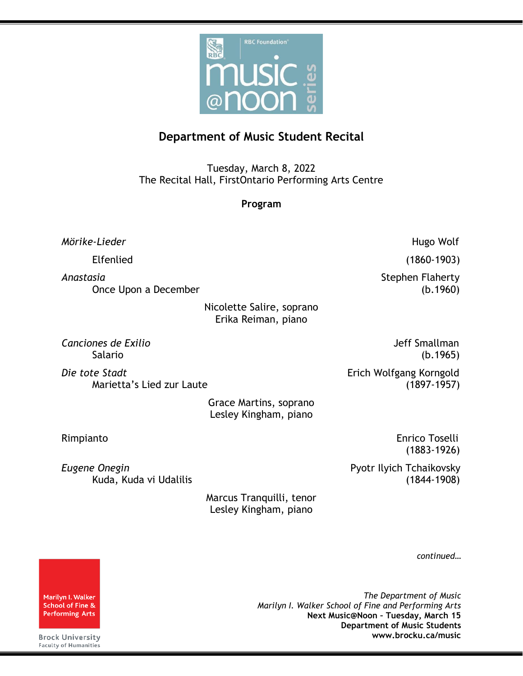

## **Department of Music Student Recital**

Tuesday, March 8, 2022 The Recital Hall, FirstOntario Performing Arts Centre

**Program**

*Mörike-Lieder* Hugo Wolf

Elfenlied (1860-1903)

Anastasia *Anastasia* Stephen Flaherty Once Upon a December (b.1960)

> Nicolette Salire, soprano Erika Reiman, piano

*Canciones de Exilio* Jeff Smallman

*Die tote Stadt* Erich Wolfgang Korngold Marietta's Lied zur Laute (1897-1957)

> Grace Martins, soprano Lesley Kingham, piano

**Eugene Onegin Pyotr Ilyich Tchaikovsky** 

Salario (b.1965)

Rimpianto Enrico Toselli (1883-1926)

Kuda, Kuda vi Udalilis (1844-1908)

Marcus Tranquilli, tenor Lesley Kingham, piano

*continued…*

*The Department of Music Marilyn I. Walker School of Fine and Performing Arts* **Next Music@Noon – Tuesday, March 15 Department of Music Students www.brocku.ca/music**

Marilyn I. Walker School of Fine & **Performing Arts** 

**Brock University** Faculty of Humanities